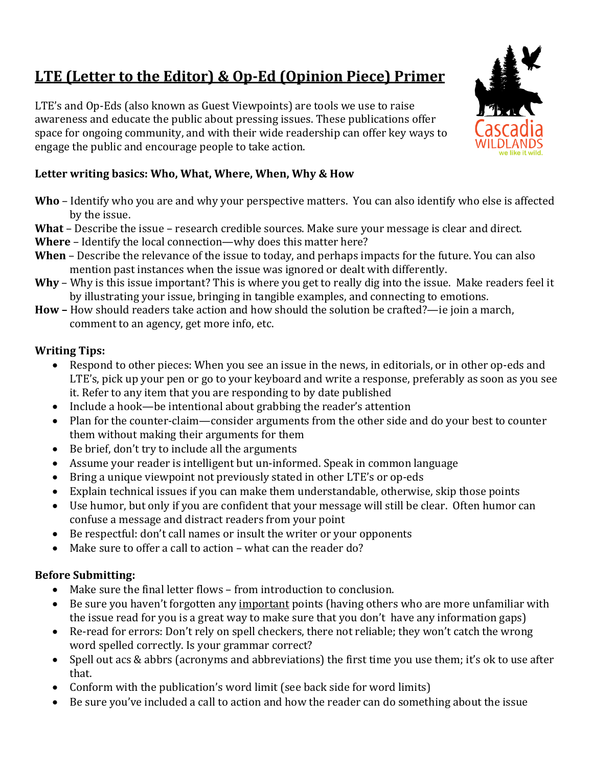# **LTE** (Letter to the Editor) & Op-Ed (Opinion Piece) Primer

LTE's and Op-Eds (also known as Guest Viewpoints) are tools we use to raise awareness and educate the public about pressing issues. These publications offer space for ongoing community, and with their wide readership can offer key ways to engage the public and encourage people to take action.

# Letter writing basics: Who, What, Where, When, Why & How

- **Who** Identify who you are and why your perspective matters. You can also identify who else is affected by the issue.
- **What** Describe the issue research credible sources. Make sure your message is clear and direct.
- **Where** Identify the local connection—why does this matter here?
- **When** Describe the relevance of the issue to today, and perhaps impacts for the future. You can also mention past instances when the issue was ignored or dealt with differently.
- **Why** Why is this issue important? This is where you get to really dig into the issue. Make readers feel it by illustrating your issue, bringing in tangible examples, and connecting to emotions.
- **How** How should readers take action and how should the solution be crafted?—ie join a march, comment to an agency, get more info, etc.

# **Writing Tips:**

- Respond to other pieces: When you see an issue in the news, in editorials, or in other op-eds and LTE's, pick up your pen or go to your keyboard and write a response, preferably as soon as you see it. Refer to any item that you are responding to by date published
- Include a hook—be intentional about grabbing the reader's attention
- Plan for the counter-claim—consider arguments from the other side and do your best to counter them without making their arguments for them
- $\bullet$  Be brief, don't try to include all the arguments
- Assume your reader is intelligent but un-informed. Speak in common language
- Bring a unique viewpoint not previously stated in other LTE's or op-eds
- Explain technical issues if you can make them understandable, otherwise, skip those points
- Use humor, but only if you are confident that your message will still be clear. Often humor can confuse a message and distract readers from your point
- Be respectful: don't call names or insult the writer or your opponents
- Make sure to offer a call to action what can the reader do?

# **Before Submitting:**

- Make sure the final letter flows from introduction to conclusion.
- Be sure you haven't forgotten any important points (having others who are more unfamiliar with the issue read for you is a great way to make sure that you don't have any information gaps)
- Re-read for errors: Don't rely on spell checkers, there not reliable; they won't catch the wrong word spelled correctly. Is your grammar correct?
- Spell out acs & abbrs (acronyms and abbreviations) the first time you use them; it's ok to use after that.
- Conform with the publication's word limit (see back side for word limits)
- Be sure you've included a call to action and how the reader can do something about the issue